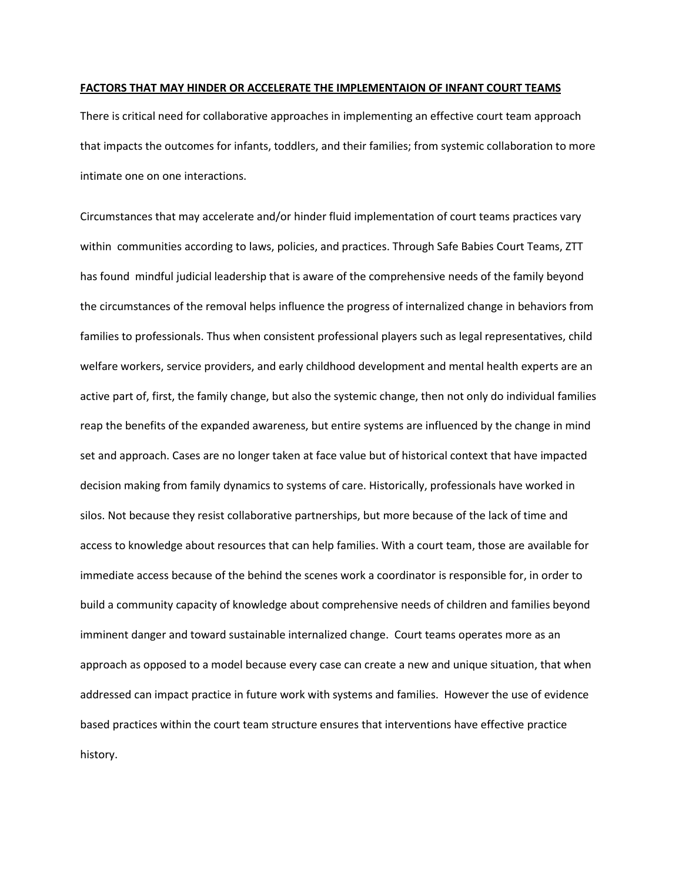## **FACTORS THAT MAY HINDER OR ACCELERATE THE IMPLEMENTAION OF INFANT COURT TEAMS**

There is critical need for collaborative approaches in implementing an effective court team approach that impacts the outcomes for infants, toddlers, and their families; from systemic collaboration to more intimate one on one interactions.

Circumstances that may accelerate and/or hinder fluid implementation of court teams practices vary within communities according to laws, policies, and practices. Through Safe Babies Court Teams, ZTT has found mindful judicial leadership that is aware of the comprehensive needs of the family beyond the circumstances of the removal helps influence the progress of internalized change in behaviors from families to professionals. Thus when consistent professional players such as legal representatives, child welfare workers, service providers, and early childhood development and mental health experts are an active part of, first, the family change, but also the systemic change, then not only do individual families reap the benefits of the expanded awareness, but entire systems are influenced by the change in mind set and approach. Cases are no longer taken at face value but of historical context that have impacted decision making from family dynamics to systems of care. Historically, professionals have worked in silos. Not because they resist collaborative partnerships, but more because of the lack of time and access to knowledge about resources that can help families. With a court team, those are available for immediate access because of the behind the scenes work a coordinator is responsible for, in order to build a community capacity of knowledge about comprehensive needs of children and families beyond imminent danger and toward sustainable internalized change. Court teams operates more as an approach as opposed to a model because every case can create a new and unique situation, that when addressed can impact practice in future work with systems and families. However the use of evidence based practices within the court team structure ensures that interventions have effective practice history.